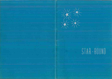

# STAR-BOUND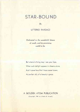# STAR-BOUND

*By*

LITTERIO FARSACI

*Dedicated to the wonderful dream of youth, and its promising world to he.*

But where in living may <sup>I</sup> see your face, When such delight appears in dreams alone, And <sup>I</sup> crave love that <sup>I</sup> have never known, As perfect ally of a beauty's grace.

#### A GOLDEN ATOM PUBLICATION

(Copyright, 1944, by Litterio B, Farsaci)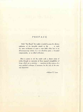#### PREFACE

With "Star-Bound" the reader is invited to *grasp the effective realization of the favorable stimuli in life . . . to catch the same exuberance of spirit* a man *finds luhen lost in an all-encompassing interest, be it an absorbing game, a beautiful companionship, or* an *allied enthusiasm.*

*Here is poetry to stir the reader with a clearer vision of reality through an* expression of those *magical intangibilities of living, which are so priceless . . . sometimes at the. expense of a more polished technique, if necessary for the sake of the original inspiration.*

—Robert E. Lane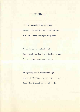# **CAPTIVE**

My heart is dancing in the restless air; Although your head and mine in rain are bare, A radiant warmth is strangely everywhere.

Across the park in youthful gayety. The winds of May sing through the heart of me, For here is love <sup>I</sup> never knew could be.

Your gentle presence lifts my spirit high, Oh, Love! My thoughts are glowing in the sky, Caught in a dream of you that will not die.

3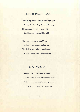# THESE THINGS <sup>I</sup> LOVE

These things <sup>I</sup> love: soft wind through grass, White clouds on high that swiftly pass, Flying moments <sup>I</sup> wish would hold, Until in song they could be told!

The happy twinkle of youth's star, A light in space, enchanting, far, The thrill of mind when crystal clear, A maid whose love <sup>I</sup> treasure dear.

#### STAR-MAIDEN

Her life was all unshadowed flame, From starry realms with sadness flown; And when she passed, her soul sped on, To brighten worlds afar, unknown.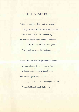# SPELL OF SILENCE

Beside the friendly, ticking clock, we groped, Through gardens, built of silence, lost in dream, Until it seemed that earth was far away . . . But mortal doubting came, and what we hoped Fell from the lyric height, with frosty gleam, And never lived to see the fleeting day.

Henceforth, we'll let these spells of freedom run, Unhindered more by any mundane thought, In deeper knowledge of all time in store. Each second lighted by a fairy sun That blossoms fiery there, and strangely wrought,

The seed of happiness within its core.

s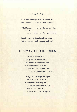# TO A STAR

O, Great. Flaming Sun of a mammoth race. How modest you seem, belittled by space!

What hopes do you bring with your scintillant beam,

To numberless worlds over which you gleam?

Speak! Light ray from the distant past, Tell us your secrets of the great and vast!

# O, SILVERY, CRESCENT MOON

O, Silvery, Crescent Moon, Why do you wander so? Lone and drear, your riven lands Echo wide their soul-sad tune. While shedding pleasant glow O'er all the yellow sea-side sands.

Calmly sailing through the night, 'Til at the last you seem A mariner's slow-setting bark, See, your crescent deeps of light, As in a fairy's dream, Wonder, too, your dim skylark.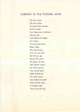# SORROW IN THE PASSING WIND

The sky is pale, The sea is gray, The heart feels strange And far away; Your hopes seem shattered, One by one, And dreams lie faded, As if done. You have such pain, Deep inside, You want to cry, And run and hide But still you see Beyond the cloud The gleam of stars That distant crowd; For there may be Your secret heart, With all that joy Of worlds apart, Your dream of youth Which throbs away In brighter light Than shines this day.

7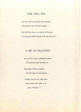#### TIME WILL TELL

The time will come when heavenward, Some great race will rise in glory . . .

But will it be man, our dream of dreams, Or strange entities beyond the star-streams?

# A BIT OF RELATIVITY

I'm sure that man is pleased to learn Of mysteries that slumber on. . .

Especially if they proclaim Our heritage of skies agone. . .

"Foolish man! If he only knew How vaster the realm a fly goes through-!"

8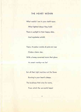#### THE HEART WITHIN

What worlds I see in your starlit eyes; What lighted deeps they hold! There is sunlight in their happy skies, And mysteries untold.

There, Arcadian worlds of pale-red rose Circle a fairer star, With <sup>a</sup> honey-caverned moon that glows

As sweet nearby—as far!

But all their light matches not the flame

Burning in your heart's deeps.

The loveliness that cries for name,

From which the sun-world leaps!

?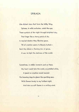# SPIRAEA

Like distant stars that form the Milky Way, Spiraea, in wild profusion, catch the eye, These symbols of the night through brightest day, That linger like <sup>a</sup> starry patch of sky. In myriad clusters they illumine space, Till all creation seems to Beauty hurled— Each tiny bloom a flaming star of grace, A sun, to light the darkness of the world.

Sometimes, in stellar moments such as these, My heart could take the world, so petalled white, A jewel no creation would rescind: For knowing days to gleam like sparkling seas, With flowers lovely to my farthest sight. And stars as soft flames in a smiling wind.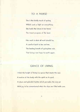#### TO A NURSE

She is the kindly touch of spring, Which casts a light on everything; She holds the future in her hand, The truest progress of the land.

Her work is what all work should be, A comfort both to her and me, The healing breath of springtime rain, That brings new hope to earth again.

# GRACE OF LIVING

I think the height of living is a grace that meets the soul, A motion of the body with the spirit as its goal, A clean and splendid rhythm which pervades the very air With joy to be remembered when the days are filled with care.

 $\bar{1}$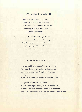# SWIMMER'S DELIGHT

<sup>I</sup> dove into the sparkling, laughing sea; Who could resist its magic spell? The waters rose above my head in glee, And sang an anthem, like a bell With notes athrill.

Then up <sup>I</sup> swept through crystal water, To cut the surface, warm with air; And like the sea's awakened daughter, <sup>I</sup> felt my soul, in blueness there, With gladness fill.

#### A BASKET OF FRUIT

A bit of health from nature is <sup>a</sup> pleasing fare: The sunny flavor of one yellow, mellowed pear, Some apples, pure, inviting with their prismed light,

Aglow, from ruddy skin to last remembered bite.

The golden delicacy of a tangerine Whose ardor lingers sharply, with a taste that's keen, A sliced pineapple, ripened sweet with summer rain, And cool, white grapes that have refreshed a southern lane.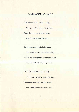# OUR LADY OF MAY

Our lady walks the fields of May, Where noontide falls in silver light; About her flowers, in bright array, Bewilder and amuse the sight.

She breathes an air of gladness out That blends in with the perfect view, Where late spring notes and echoes shout From hill and dale, the May anew.

While all around her, like a song,

The whispers grow to charm the ear,

To breathe above all ancient wrong,

And herald fresh the summer year.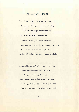# DREAM OF LIGHT

You tell me you are frightened; rightly so, For all the golden years have passed us by, And there is nothing left but vacant sky. You say you are afraid: all faces go, And there is nothing in the world to know But dreams and hopes that vanish down the years, Life's loveliness, in overcasting fears, And scudding clouds beneath the moon's dull glow.

Awaken, Slumbering Soul, and claim your wings! Your shining strand of life is yet to be; You've yet to feel the pulse of melody Which lights the face of all surrounding things; You've yet to know the keener, deeper breath, Which drives ahead, and triumphs over death! A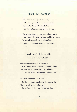# ELIXIR TO SAPPHO

He dreamed she was all loveliness, Her beauty breathless as a silver dart, Her mind a flame—Ah, this to kiss, And in its heaven once to pour his heart!

The maiden beamed-she laughed and smiled, Ah! would she knew the tears and joy she gave To him whose meekness long beguiled,

A cup of awe that he might ever crave!

# <sup>I</sup> HAVE SEEN THE SUNLIGHT TURN TO GOLD

<sup>I</sup> have seen the sunlight turn to gold, And gloried alone in star-worlds spread above: That was before <sup>I</sup> knew that time could hold Such transcendent mystery as this—our love!

<sup>I</sup> have watched the driven snow,

For its whiteness, knowing not the lacking there: The purer white and radiant glow

To be found in the heart of my lady fair.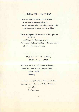# BELLS IN THE WIND

Have you heard those bells in the wind— Silver notes in the crystalline air? <sup>I</sup> sometimes have, when the aching, weeping sky Opens to show its heart, so blue and fair!

Its calm delight is like the dawn, which lights up blossoms

Sparkling wet with rain, and gay As <sup>a</sup> hunger that has vanished in the glad surprise Of <sup>a</sup> wind that blows to play.

#### SOFTLY IN THE MAGIC BREATH OF DUSK

You know not how joyful is peaceful sleep Until it has caressed you, deep on deep, Softly, sweetly. Motherly.

'Tis heaven on earth when, with work well done, Your eyes droop to rest with the setting sun, And silent Contentment.

is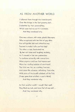# AS FROM ANOTHER WORLD

<sup>I</sup> followed them through the riverside park, Over the bridge in the fast growing dark, Enchanted by their personalities, Which soon had my spirit in ecstasies.

And they wondered why.

One was a dream, with wide, placid, blue eyes, Who enraptured with her hint of gay skies; Her soft golden hair and attractive way Seemed to make it all a perfect day! The other, a rose, fascinated me By her rich tones and laughing modesty, As if amused at her own pretensions To conform outwardly with conventions, When anyone could see that heaven-sent Were her rippling bubbles of merriment! The third was fair, as <sup>a</sup> setting frost-star, And came like a breeze, refreshing, from afar, With some of the breath subdued, of the first, (Three gems that satisfied <sup>a</sup> poet's thirst] And they wondered why.

As from another world, <sup>I</sup> caught their spell. They liked my look, and knew that all was well, ... And they wondered why.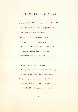#### ETERNAL SPRING OF ALTAIR

One summer's night <sup>I</sup> caught your glance: the sight

Was like a shining jewel, too bright to wear. <sup>I</sup> knew you were a paradise, Altair, Of worlds athrill in smiling seas of light. Entranced <sup>I</sup> stood, and then <sup>I</sup> saw: your might Was slow result of force thrown everywhere, In wisdom supernal, beyond compare, Emancipation from all inner blight.

Your haunting melody forever new Was grandeur piercing through the misty sky, A spring of magic that was timeless grace. Amid your joyous power, dreams came true, As if you found time's heart no latent sigh, In sweet fulfillment reaching ends of space.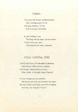# FRIEDA

Your eyes that dream unuttered peace Are <sup>a</sup> strange power to me; And your slimness, I'd vow, Is but stronger femininity!

In your frailness <sup>I</sup> see The lying told by eager common sense: <sup>I</sup> know, since your eyes Hold eternal and quiet suspense!

# COLD CRYSTAL EYES

Cold Crystal Eyes, with thoughts of gladness, Keep shining faith in all your dreams; And though <sup>I</sup> beg to have you near. Give, coldly, no thought unless it beams!

It is not strange you love another; We've just now met: you've known him years. But why, Cold Crystal Eyes, your hint of sighing, And why, this thought of tears?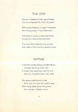# TRUE LOVE

Like one is healed by kindly, joyful friends, True love invigorates the mind with power.

With lasting loveliness its wealth transcends The flaming passion of some little hour—

And makes of ecstasy a beam that wends Its way into a God-enchanted bower.

True love is like <sup>a</sup> light that e'er ascends, And makes of life a perfect, growing flower

# RAPTURE

<sup>I</sup> think the sweetest things are light with air, A breeze that kisses ladies' hair, A breath which gives keen taste to fruit, And skies of sparkling blue—too mute!

The rapture winds have in a tree When they have sped the world in glee, With flying clouds above the ground, And melodies of lighted sound.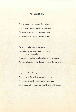# FINAL VICTORY

A wild, abounding gladness fills my heart; <sup>I</sup> neyer knew that life could hold such wealth! Oh, see it bound and thrill me with a start, A sense of power, youth, abiding health!

For living might is mine and yours,

This dream of life which grasps the sky with kindly strength,

This dream which lives and breathes, and thus endures

Across the timeless years, through reason's clearest length.

For, see, we breathe again the flame of stars, A paeon of victory, alive, ablaze with song, That man regains his ancient might—and wars Recall a time when peace was fearful, filled with wrong.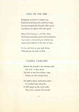#### LYRIC OF THE ORB

Effulgently enclosed in winged rays, Radiantly beautifying the earth-born days, Pouring energetically through stellar space, Sanctifying our planet with solar grace.

Glory of the heavens, a star like others, Dazzling by proximity, great with its brothers; Your motion commanding an orderly tune, Apparently brightest at the time of June. . .

So true and firm on your path divine, Following you my heart is thine.

# CASTLE CHILLON

Unleash the hounds!—the darkness falls; The wind—it slips about. The beat of sea from distant crags Sweeps up with savage shout.

The night is tense, and presses close; Its weirdest heart abounds. A chill creeps up the castle walls. They must—unleash the hounds!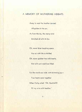#### A MEMORY OF WUTHERING HEIGHTS

Away to west the heather danced,

All-golden in the sun,

As from the sky, the merry wind

Enriched all with its fun.

Oh, never bluer laughing space,

Nor air with life so thrilled,

Oh, never gladder two wild hearts,

Nor with such mad love filled.

For the world was wide, with brimming joy-

True hearts were together

When Cathy cried; "Oh, Heathcliff!

Fill my arms with heather."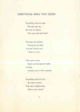# EVERYTHING ENDS TOO SOON

Everything ends too soon, The wise men say, But what of dreams That never end each day?

The years are passing, Passing by, too fleet; And yet <sup>I</sup> look for one <sup>I</sup> hope to meet.

With souls untrue, Sweet promise goes to waste; At best, Another person's life is graced.

Everything ends too soon, But what of hearts That wait a brighter day, Which never starts?

 $24$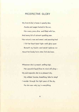# PROSPECTIVE GLORY

My love-to-be is home in pearly dew, Awake and eager-footed in the sun, Her every pore alive, and filled with fun, And every bit of raiment sparkling new. Her nature's rare and sweet, and yearning too! <sup>I</sup> felt her heart beat high—with glory spun Beneath my touch—and secret raptures run About her lovely form when first she knew.

Whenever she is present, smiling nigh, Her graceful liquid lines to mind will cling— My soul expands: she is so pleasant shy, My wildest fancies, breathing, take to wing! <sup>I</sup> wander through the light years of the sky, For she sees only joy in everything.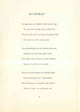#### SKY-WORLDS

My gaze goes out nightly to the stars on high, Peering down through eyes of soft flame, Flickering orbs that haunt the vast depths of sky. And seem io call to me by name.

How enfhrallingly aloof the distant orbs seem, Gleaming o'er the bleak silent lands; Their lights, still as fairy as in lakes of dream, Imprison me with cosmic bands.

Giving me such longings for sublimer sight, My love has gone out, irrecoverably, Out with the pure, intangible, starry light— World on high, how you beckon me!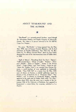#### ABOUT "STAR-BOUND" AND THE AUTHOR

Star-Bound is a privately-printed brochure, issued through the Advertising. Printing, and Supply Company of Jacksonville, Florida. The author is at present stationed in the 7th ASFTR. Camp Lee, Virginia.

The poem. Sky-Worlds," is being reprinted from the May-June, 1940. issue of Famous Fantastic Mysteries, with the kind permission of Popular Publications, New York City. An illustration for ' O. Silvery, Crescent Moon", drawn by Jean Finlay, decorated the cover of the semi-anniversary issue of *Golden* Atom, in 1940.

"Spell of Silence", 'Everything Ends Too Soon", "Spiraea , ' Cold Crystal Eyes ', "Dream of Light , "Raplure ', "Swimmer's Delight". "Elixir to Sappho". "Sorrow in the Passing Wind", "Castle Chillon", and "Final Victory", (under the title, "Across the timeless Years"), are reprinted from *Fleeting Moments,* a small brochure of verse published in Jacksonville, Florida. "Time Will Tell" is a reprint from the May, 1939. issue of Scenes u/ Fantasy, a colorful publication issued by Francis J. Litz, of Rochester, N. Y. "Prospective Glory", "Star-Maiden", and "A Memory of Wuthering Heights" originally appeared in the tenth issue of *Golden* Atom, while "To a Star", written about 1931, when the writer was a member of the Astronomy Club of the University of Rochester, first appeared in imagination!, a science-fiction fan magazine, published in Los Angeles.